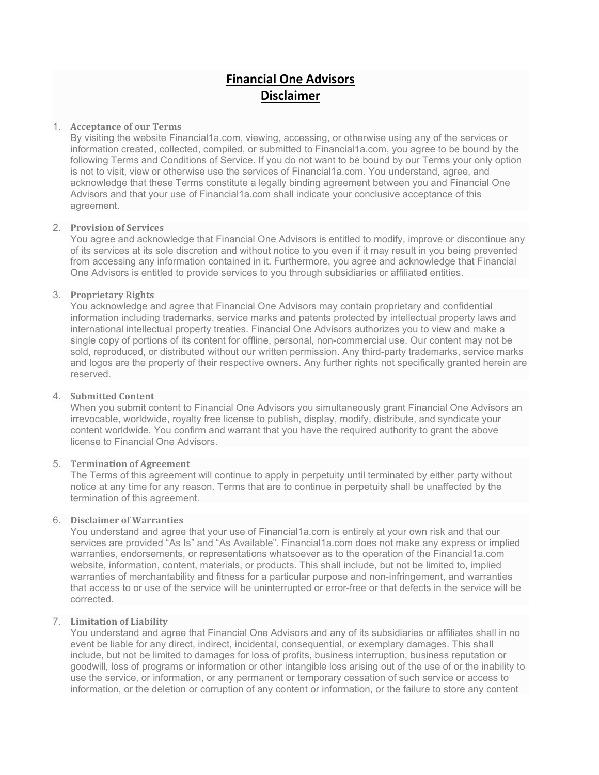# Financial One Advisors Disclaimer

## 1. Acceptance of our Terms

By visiting the website Financial1a.com, viewing, accessing, or otherwise using any of the services or information created, collected, compiled, or submitted to Financial1a.com, you agree to be bound by the following Terms and Conditions of Service. If you do not want to be bound by our Terms your only option is not to visit, view or otherwise use the services of Financial1a.com. You understand, agree, and acknowledge that these Terms constitute a legally binding agreement between you and Financial One Advisors and that your use of Financial1a.com shall indicate your conclusive acceptance of this agreement.

## 2. Provision of Services

You agree and acknowledge that Financial One Advisors is entitled to modify, improve or discontinue any of its services at its sole discretion and without notice to you even if it may result in you being prevented from accessing any information contained in it. Furthermore, you agree and acknowledge that Financial One Advisors is entitled to provide services to you through subsidiaries or affiliated entities.

## 3. Proprietary Rights

You acknowledge and agree that Financial One Advisors may contain proprietary and confidential information including trademarks, service marks and patents protected by intellectual property laws and international intellectual property treaties. Financial One Advisors authorizes you to view and make a single copy of portions of its content for offline, personal, non-commercial use. Our content may not be sold, reproduced, or distributed without our written permission. Any third-party trademarks, service marks and logos are the property of their respective owners. Any further rights not specifically granted herein are reserved.

#### 4. Submitted Content

When you submit content to Financial One Advisors you simultaneously grant Financial One Advisors an irrevocable, worldwide, royalty free license to publish, display, modify, distribute, and syndicate your content worldwide. You confirm and warrant that you have the required authority to grant the above license to Financial One Advisors.

#### 5. Termination of Agreement

The Terms of this agreement will continue to apply in perpetuity until terminated by either party without notice at any time for any reason. Terms that are to continue in perpetuity shall be unaffected by the termination of this agreement.

#### 6. Disclaimer of Warranties

You understand and agree that your use of Financial1a.com is entirely at your own risk and that our services are provided "As Is" and "As Available". Financial1a.com does not make any express or implied warranties, endorsements, or representations whatsoever as to the operation of the Financial1a.com website, information, content, materials, or products. This shall include, but not be limited to, implied warranties of merchantability and fitness for a particular purpose and non-infringement, and warranties that access to or use of the service will be uninterrupted or error-free or that defects in the service will be corrected.

#### 7. Limitation of Liability

You understand and agree that Financial One Advisors and any of its subsidiaries or affiliates shall in no event be liable for any direct, indirect, incidental, consequential, or exemplary damages. This shall include, but not be limited to damages for loss of profits, business interruption, business reputation or goodwill, loss of programs or information or other intangible loss arising out of the use of or the inability to use the service, or information, or any permanent or temporary cessation of such service or access to information, or the deletion or corruption of any content or information, or the failure to store any content